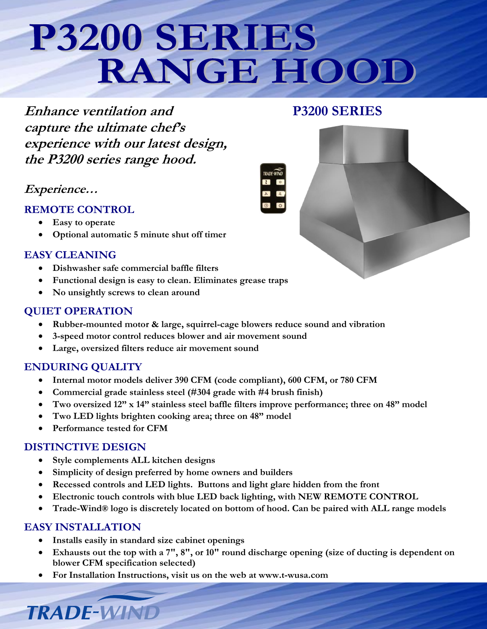## P3200 SERIES RANGE HOOI

**Enhance ventilation and P3200 SERIES capture the ultimate chef's experience with our latest design, the P3200 series range hood.**

### **Experience…**

- **REMOTE CONTROL**
	- **Easy to operate**
	- **Optional automatic 5 minute shut off timer**

#### **EASY CLEANING**

- **Dishwasher safe commercial baffle filters**
- **Functional design is easy to clean. Eliminates grease traps**
- **No unsightly screws to clean around**

#### **QUIET OPERATION**

- **Rubber-mounted motor & large, squirrel-cage blowers reduce sound and vibration**
- **3-speed motor control reduces blower and air movement sound**
- **Large, oversized filters reduce air movement sound**

#### **ENDURING QUALITY**

- **Internal motor models deliver 390 CFM (code compliant), 600 CFM, or 780 CFM**
- **Commercial grade stainless steel (#304 grade with #4 brush finish)**
- **Two oversized 12" x 14" stainless steel baffle filters improve performance; three on 48" model**
- **Two LED lights brighten cooking area; three on 48" model**
- **Performance tested for CFM**

#### **DISTINCTIVE DESIGN**

- **Style complements ALL kitchen designs**
- **Simplicity of design preferred by home owners and builders**
- **Recessed controls and LED lights. Buttons and light glare hidden from the front**
- **Electronic touch controls with blue LED back lighting, with NEW REMOTE CONTROL**
- **Trade-Wind® logo is discretely located on bottom of hood. Can be paired with ALL range models**

#### **EASY INSTALLATION**

**TRADE-WIND** 

- **Installs easily in standard size cabinet openings**
- **Exhausts out the top with a 7", 8", or 10" round discharge opening (size of ducting is dependent on blower CFM specification selected)**
- **For Installation Instructions, visit us on the web at www.t-wusa.com**